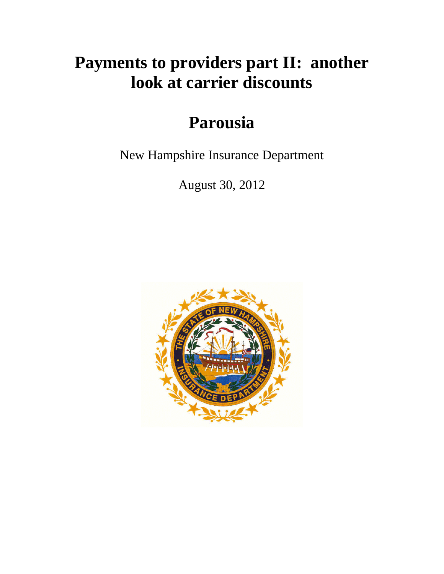# **Payments to providers part II: another look at carrier discounts**

# **Parousia**

New Hampshire Insurance Department

August 30, 2012

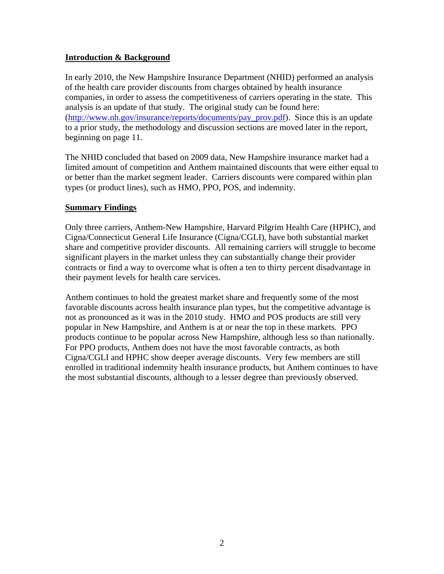# **Introduction & Background**

In early 2010, the New Hampshire Insurance Department (NHID) performed an analysis of the health care provider discounts from charges obtained by health insurance companies, in order to assess the competitiveness of carriers operating in the state. This analysis is an update of that study. The original study can be found here: (http://www.nh.gov/insurance/reports/documents/pay\_prov.pdf). Since this is an update to a prior study, the methodology and discussion sections are moved later in the report, beginning on page 11.

The NHID concluded that based on 2009 data, New Hampshire insurance market had a limited amount of competition and Anthem maintained discounts that were either equal to or better than the market segment leader. Carriers discounts were compared within plan types (or product lines), such as HMO, PPO, POS, and indemnity.

#### **Summary Findings**

Only three carriers, Anthem-New Hampshire, Harvard Pilgrim Health Care (HPHC), and Cigna/Connecticut General Life Insurance (Cigna/CGLI), have both substantial market share and competitive provider discounts. All remaining carriers will struggle to become significant players in the market unless they can substantially change their provider contracts or find a way to overcome what is often a ten to thirty percent disadvantage in their payment levels for health care services.

Anthem continues to hold the greatest market share and frequently some of the most favorable discounts across health insurance plan types, but the competitive advantage is not as pronounced as it was in the 2010 study. HMO and POS products are still very popular in New Hampshire, and Anthem is at or near the top in these markets. PPO products continue to be popular across New Hampshire, although less so than nationally. For PPO products, Anthem does not have the most favorable contracts, as both Cigna/CGLI and HPHC show deeper average discounts. Very few members are still enrolled in traditional indemnity health insurance products, but Anthem continues to have the most substantial discounts, although to a lesser degree than previously observed.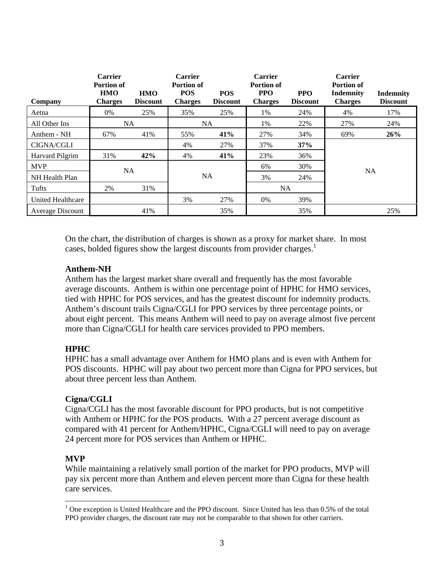| Company                 | <b>Carrier</b><br><b>Portion of</b><br><b>HMO</b><br><b>Charges</b> | <b>HMO</b><br><b>Discount</b> | <b>Carrier</b><br><b>Portion of</b><br><b>POS</b><br><b>Charges</b> | <b>POS</b><br><b>Discount</b> | <b>Carrier</b><br><b>Portion of</b><br><b>PPO</b><br><b>Charges</b> | <b>PPO</b><br><b>Discount</b> | <b>Carrier</b><br><b>Portion of</b><br>Indemnity<br><b>Charges</b> | Indemnity<br><b>Discount</b> |
|-------------------------|---------------------------------------------------------------------|-------------------------------|---------------------------------------------------------------------|-------------------------------|---------------------------------------------------------------------|-------------------------------|--------------------------------------------------------------------|------------------------------|
| Aetna                   | 0%                                                                  | 25%                           | 35%                                                                 | 25%                           | 1%                                                                  | 24%                           | 4%                                                                 | 17%                          |
| All Other Ins           | <b>NA</b>                                                           |                               | NA.                                                                 |                               | 1%                                                                  | 22%                           | 27%                                                                | 24%                          |
| Anthem - NH             | 67%                                                                 | 41%                           | 55%                                                                 | 41%                           | 27%                                                                 | 34%                           | 69%                                                                | 26%                          |
| <b>CIGNA/CGLI</b>       |                                                                     |                               | 4%                                                                  | 27%                           | 37%                                                                 | 37%                           |                                                                    |                              |
| Harvard Pilgrim         | 31%                                                                 | 42%                           | 4%                                                                  | 41%                           | 23%                                                                 | 36%                           |                                                                    |                              |
| <b>MVP</b>              | <b>NA</b>                                                           |                               |                                                                     |                               | 6%                                                                  | 30%                           | <b>NA</b>                                                          |                              |
| NH Health Plan          |                                                                     |                               | <b>NA</b>                                                           |                               | 3%                                                                  | 24%                           |                                                                    |                              |
| Tufts                   | 2%                                                                  | 31%                           |                                                                     |                               | NA                                                                  |                               |                                                                    |                              |
| United Healthcare       |                                                                     |                               | 3%                                                                  | 27%                           | 0%                                                                  | 39%                           |                                                                    |                              |
| <b>Average Discount</b> |                                                                     | 41%                           |                                                                     | 35%                           |                                                                     | 35%                           |                                                                    | 25%                          |

On the chart, the distribution of charges is shown as a proxy for market share. In most cases, bolded figures show the largest discounts from provider charges.<sup>1</sup>

# **Anthem-NH**

Anthem has the largest market share overall and frequently has the most favorable average discounts. Anthem is within one percentage point of HPHC for HMO services, tied with HPHC for POS services, and has the greatest discount for indemnity products. Anthem's discount trails Cigna/CGLI for PPO services by three percentage points, or about eight percent. This means Anthem will need to pay on average almost five percent more than Cigna/CGLI for health care services provided to PPO members.

# **HPHC**

HPHC has a small advantage over Anthem for HMO plans and is even with Anthem for POS discounts. HPHC will pay about two percent more than Cigna for PPO services, but about three percent less than Anthem.

# **Cigna/CGLI**

Cigna/CGLI has the most favorable discount for PPO products, but is not competitive with Anthem or HPHC for the POS products. With a 27 percent average discount as compared with 41 percent for Anthem/HPHC, Cigna/CGLI will need to pay on average 24 percent more for POS services than Anthem or HPHC.

# **MVP**

 $\overline{a}$ 

While maintaining a relatively small portion of the market for PPO products, MVP will pay six percent more than Anthem and eleven percent more than Cigna for these health care services.

 $1$  One exception is United Healthcare and the PPO discount. Since United has less than 0.5% of the total PPO provider charges, the discount rate may not be comparable to that shown for other carriers.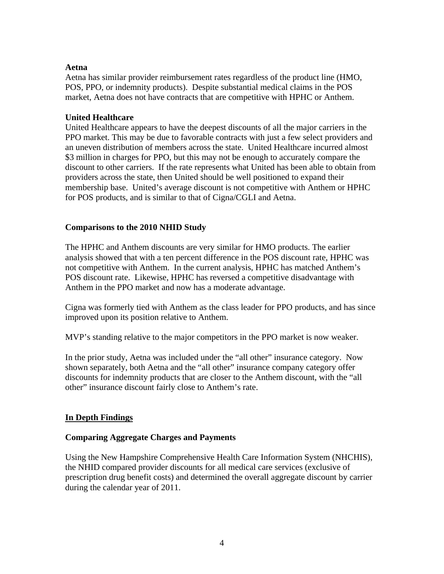#### **Aetna**

Aetna has similar provider reimbursement rates regardless of the product line (HMO, POS, PPO, or indemnity products). Despite substantial medical claims in the POS market, Aetna does not have contracts that are competitive with HPHC or Anthem.

## **United Healthcare**

United Healthcare appears to have the deepest discounts of all the major carriers in the PPO market. This may be due to favorable contracts with just a few select providers and an uneven distribution of members across the state. United Healthcare incurred almost \$3 million in charges for PPO, but this may not be enough to accurately compare the discount to other carriers. If the rate represents what United has been able to obtain from providers across the state, then United should be well positioned to expand their membership base. United's average discount is not competitive with Anthem or HPHC for POS products, and is similar to that of Cigna/CGLI and Aetna.

# **Comparisons to the 2010 NHID Study**

The HPHC and Anthem discounts are very similar for HMO products. The earlier analysis showed that with a ten percent difference in the POS discount rate, HPHC was not competitive with Anthem. In the current analysis, HPHC has matched Anthem's POS discount rate. Likewise, HPHC has reversed a competitive disadvantage with Anthem in the PPO market and now has a moderate advantage.

Cigna was formerly tied with Anthem as the class leader for PPO products, and has since improved upon its position relative to Anthem.

MVP's standing relative to the major competitors in the PPO market is now weaker.

In the prior study, Aetna was included under the "all other" insurance category. Now shown separately, both Aetna and the "all other" insurance company category offer discounts for indemnity products that are closer to the Anthem discount, with the "all other" insurance discount fairly close to Anthem's rate.

# **In Depth Findings**

# **Comparing Aggregate Charges and Payments**

Using the New Hampshire Comprehensive Health Care Information System (NHCHIS), the NHID compared provider discounts for all medical care services (exclusive of prescription drug benefit costs) and determined the overall aggregate discount by carrier during the calendar year of 2011.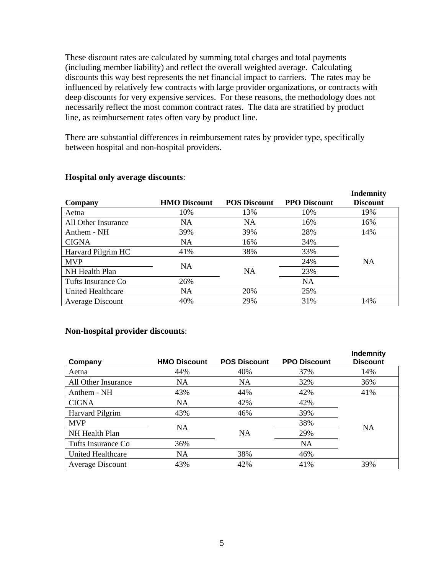These discount rates are calculated by summing total charges and total payments (including member liability) and reflect the overall weighted average. Calculating discounts this way best represents the net financial impact to carriers. The rates may be influenced by relatively few contracts with large provider organizations, or contracts with deep discounts for very expensive services. For these reasons, the methodology does not necessarily reflect the most common contract rates. The data are stratified by product line, as reimbursement rates often vary by product line.

There are substantial differences in reimbursement rates by provider type, specifically between hospital and non-hospital providers.

| Company                  | <b>HMO Discount</b> | <b>POS Discount</b> | <b>PPO Discount</b> | <b>Indemnity</b><br><b>Discount</b> |
|--------------------------|---------------------|---------------------|---------------------|-------------------------------------|
| Aetna                    | 10%                 | 13%                 | 10%                 | 19%                                 |
| All Other Insurance      | NA                  | NA                  | 16%                 | 16%                                 |
| Anthem - NH              | 39%                 | 39%                 | 28%                 | 14%                                 |
| <b>CIGNA</b>             | NA                  | 16%                 | 34%                 |                                     |
| Harvard Pilgrim HC       | 41%                 | 38%                 | 33%                 |                                     |
| <b>MVP</b>               | <b>NA</b>           |                     | 24%                 | <b>NA</b>                           |
| NH Health Plan           |                     | <b>NA</b>           | 23%                 |                                     |
| Tufts Insurance Co       | 26%                 |                     | <b>NA</b>           |                                     |
| <b>United Healthcare</b> | NA                  | 20%                 | 25%                 |                                     |
| <b>Average Discount</b>  | 40%                 | 29%                 | 31%                 | 14%                                 |

#### **Hospital only average discounts**:

#### **Non-hospital provider discounts**:

| Company                  | <b>HMO Discount</b> | <b>POS Discount</b> | <b>PPO Discount</b> | Indemnity<br><b>Discount</b> |
|--------------------------|---------------------|---------------------|---------------------|------------------------------|
| Aetna                    | 44%                 | 40%                 | 37%                 | 14%                          |
| All Other Insurance      | NA                  | NA                  | 32%                 | 36%                          |
| Anthem - NH              | 43%                 | 44%                 | 42%                 | 41%                          |
| <b>CIGNA</b>             | <b>NA</b>           | 42%                 | 42%                 |                              |
| Harvard Pilgrim          | 43%                 | 46%                 | 39%                 |                              |
| <b>MVP</b>               | <b>NA</b>           |                     | 38%                 |                              |
| NH Health Plan           |                     | <b>NA</b>           | 29%                 | NA                           |
| Tufts Insurance Co       | 36%                 |                     | <b>NA</b>           |                              |
| <b>United Healthcare</b> | NA                  | 38%                 | 46%                 |                              |
| <b>Average Discount</b>  | 43%                 | 42%                 | 41%                 | 39%                          |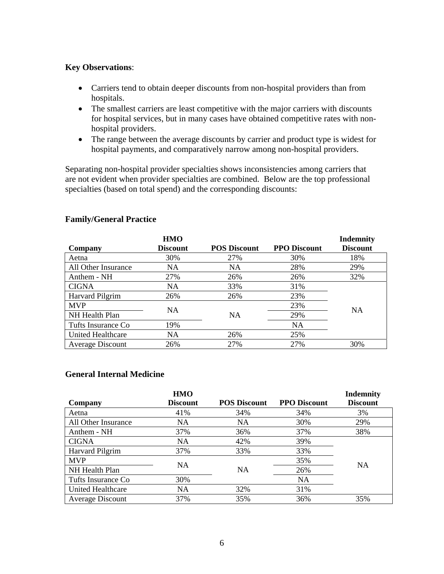#### **Key Observations**:

- Carriers tend to obtain deeper discounts from non-hospital providers than from hospitals.
- The smallest carriers are least competitive with the major carriers with discounts for hospital services, but in many cases have obtained competitive rates with nonhospital providers.
- The range between the average discounts by carrier and product type is widest for hospital payments, and comparatively narrow among non-hospital providers.

Separating non-hospital provider specialties shows inconsistencies among carriers that are not evident when provider specialties are combined. Below are the top professional specialties (based on total spend) and the corresponding discounts:

| Company                | <b>HMO</b><br><b>Discount</b> | <b>POS Discount</b> | <b>PPO Discount</b> | <b>Indemnity</b><br><b>Discount</b> |
|------------------------|-------------------------------|---------------------|---------------------|-------------------------------------|
| Aetna                  | 30%                           | 27%                 | 30%                 | 18%                                 |
| All Other Insurance    | NA                            | NA                  | 28%                 | 29%                                 |
| Anthem - NH            | 27%                           | 26%                 | 26%                 | 32%                                 |
| <b>CIGNA</b>           | NA.                           | 33%                 | 31%                 |                                     |
| <b>Harvard Pilgrim</b> | 26%                           | 26%                 | 23%                 |                                     |
| <b>MVP</b>             | <b>NA</b>                     |                     | 23%                 | <b>NA</b>                           |
| NH Health Plan         |                               | <b>NA</b>           | 29%                 |                                     |
| Tufts Insurance Co     | 19%                           |                     | <b>NA</b>           |                                     |
| United Healthcare      | NA.                           | 26%                 | 25%                 |                                     |
| Average Discount       | 26%                           | 27%                 | 27%                 | 30%                                 |

#### **Family/General Practice**

#### **General Internal Medicine**

|                          | <b>HMO</b><br><b>Discount</b> | <b>POS Discount</b> | <b>PPO Discount</b> | <b>Indemnity</b><br><b>Discount</b> |
|--------------------------|-------------------------------|---------------------|---------------------|-------------------------------------|
| Company                  |                               |                     |                     |                                     |
| Aetna                    | 41%                           | 34%                 | 34%                 | 3%                                  |
| All Other Insurance      | <b>NA</b>                     | NA                  | 30%                 | 29%                                 |
| Anthem - NH              | 37%                           | 36%                 | 37%                 | 38%                                 |
| <b>CIGNA</b>             | NA                            | 42%                 | 39%                 |                                     |
| <b>Harvard Pilgrim</b>   | 37%                           | 33%                 | 33%                 |                                     |
| <b>MVP</b>               | <b>NA</b>                     |                     | 35%                 | <b>NA</b>                           |
| NH Health Plan           |                               | <b>NA</b>           | 26%                 |                                     |
| Tufts Insurance Co       | 30%                           |                     | <b>NA</b>           |                                     |
| <b>United Healthcare</b> | NA                            | 32%                 | 31%                 |                                     |
| <b>Average Discount</b>  | 37%                           | 35%                 | 36%                 | 35%                                 |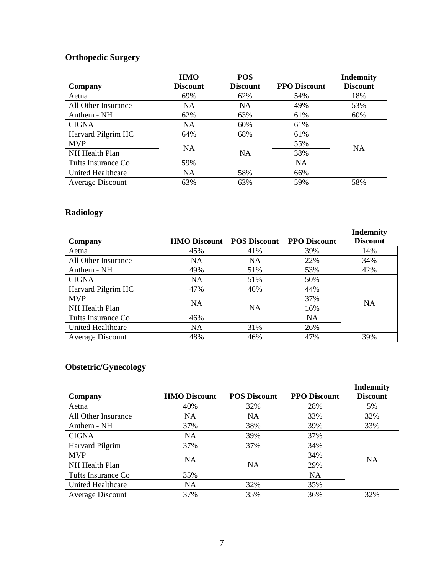# **Orthopedic Surgery**

|                         | <b>HMO</b>      | <b>POS</b>      |                     | <b>Indemnity</b> |
|-------------------------|-----------------|-----------------|---------------------|------------------|
| Company                 | <b>Discount</b> | <b>Discount</b> | <b>PPO Discount</b> | <b>Discount</b>  |
| Aetna                   | 69%             | 62%             | 54%                 | 18%              |
| All Other Insurance     | NA              | NA              | 49%                 | 53%              |
| Anthem - NH             | 62%             | 63%             | 61%                 | 60%              |
| <b>CIGNA</b>            | <b>NA</b>       | 60%             | 61%                 |                  |
| Harvard Pilgrim HC      | 64%             | 68%             | 61%                 |                  |
| <b>MVP</b>              | <b>NA</b>       |                 | 55%                 |                  |
| NH Health Plan          |                 | <b>NA</b>       | 38%                 | <b>NA</b>        |
| Tufts Insurance Co      | 59%             |                 | NA                  |                  |
| United Healthcare       | NA              | 58%             | 66%                 |                  |
| <b>Average Discount</b> | 63%             | 63%             | 59%                 | 58%              |

# **Radiology**

| Company                 | <b>HMO Discount</b> | <b>POS Discount</b> | <b>PPO Discount</b> | <b>Indemnity</b><br><b>Discount</b> |
|-------------------------|---------------------|---------------------|---------------------|-------------------------------------|
| Aetna                   | 45%                 | 41%                 | 39%                 | 14%                                 |
| All Other Insurance     | NA                  | <b>NA</b>           | 22%                 | 34%                                 |
| Anthem - NH             | 49%                 | 51%                 | 53%                 | 42%                                 |
| <b>CIGNA</b>            | NA                  | 51%                 | 50%                 |                                     |
| Harvard Pilgrim HC      | 47%                 | 46%                 | 44%                 |                                     |
| <b>MVP</b>              | NA.                 |                     | 37%                 | <b>NA</b>                           |
| NH Health Plan          |                     | <b>NA</b>           | 16%                 |                                     |
| Tufts Insurance Co      | 46%                 |                     | <b>NA</b>           |                                     |
| United Healthcare       | NA                  | 31%                 | 26%                 |                                     |
| <b>Average Discount</b> | 48%                 | 46%                 | 47%                 | 39%                                 |

# **Obstetric/Gynecology**

| Company                  | <b>HMO Discount</b> | <b>POS Discount</b> | <b>PPO Discount</b> | <b>Indemnity</b><br><b>Discount</b> |
|--------------------------|---------------------|---------------------|---------------------|-------------------------------------|
| Aetna                    | 40%                 | 32%                 | 28%                 | 5%                                  |
| All Other Insurance      | NA.                 | NA                  | 33%                 | 32%                                 |
| Anthem - NH              | 37%                 | 38%                 | 39%                 | 33%                                 |
| <b>CIGNA</b>             | NA                  | 39%                 | 37%                 |                                     |
| Harvard Pilgrim          | 37%                 | 37%                 | 34%                 |                                     |
| <b>MVP</b>               |                     |                     | 34%                 | <b>NA</b>                           |
| NH Health Plan           | <b>NA</b>           | NA                  | 29%                 |                                     |
| Tufts Insurance Co       | 35%                 |                     | NA                  |                                     |
| <b>United Healthcare</b> | NA                  | 32%                 | 35%                 |                                     |
| <b>Average Discount</b>  | 37%                 | 35%                 | 36%                 | 32%                                 |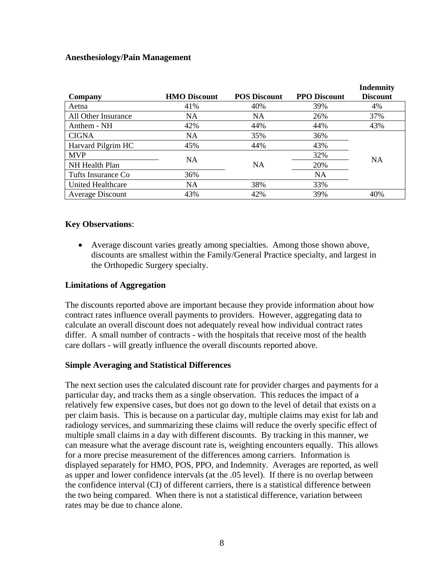#### **Anesthesiology/Pain Management**

| Company                  | <b>HMO Discount</b> | <b>POS Discount</b> | <b>PPO Discount</b> | <b>Indemnity</b><br><b>Discount</b> |
|--------------------------|---------------------|---------------------|---------------------|-------------------------------------|
| Aetna                    | 41%                 | 40%                 | 39%                 | 4%                                  |
| All Other Insurance      | NA                  | NA                  | 26%                 | 37%                                 |
| Anthem - NH              | 42%                 | 44%                 | 44%                 | 43%                                 |
| <b>CIGNA</b>             | NA                  | 35%                 | 36%                 |                                     |
| Harvard Pilgrim HC       | 45%                 | 44%                 | 43%                 |                                     |
| <b>MVP</b>               |                     |                     | 32%                 |                                     |
| NH Health Plan           | <b>NA</b>           | <b>NA</b>           | 20%                 | <b>NA</b>                           |
| Tufts Insurance Co       | 36%                 |                     | NA                  |                                     |
| <b>United Healthcare</b> | NA                  | 38%                 | 33%                 |                                     |
| Average Discount         | 43%                 | 42%                 | 39%                 | 40%                                 |

#### **Key Observations**:

 Average discount varies greatly among specialties. Among those shown above, discounts are smallest within the Family/General Practice specialty, and largest in the Orthopedic Surgery specialty.

#### **Limitations of Aggregation**

The discounts reported above are important because they provide information about how contract rates influence overall payments to providers. However, aggregating data to calculate an overall discount does not adequately reveal how individual contract rates differ. A small number of contracts - with the hospitals that receive most of the health care dollars - will greatly influence the overall discounts reported above.

#### **Simple Averaging and Statistical Differences**

The next section uses the calculated discount rate for provider charges and payments for a particular day, and tracks them as a single observation. This reduces the impact of a relatively few expensive cases, but does not go down to the level of detail that exists on a per claim basis. This is because on a particular day, multiple claims may exist for lab and radiology services, and summarizing these claims will reduce the overly specific effect of multiple small claims in a day with different discounts. By tracking in this manner, we can measure what the average discount rate is, weighting encounters equally. This allows for a more precise measurement of the differences among carriers. Information is displayed separately for HMO, POS, PPO, and Indemnity. Averages are reported, as well as upper and lower confidence intervals (at the .05 level). If there is no overlap between the confidence interval (CI) of different carriers, there is a statistical difference between the two being compared. When there is not a statistical difference, variation between rates may be due to chance alone.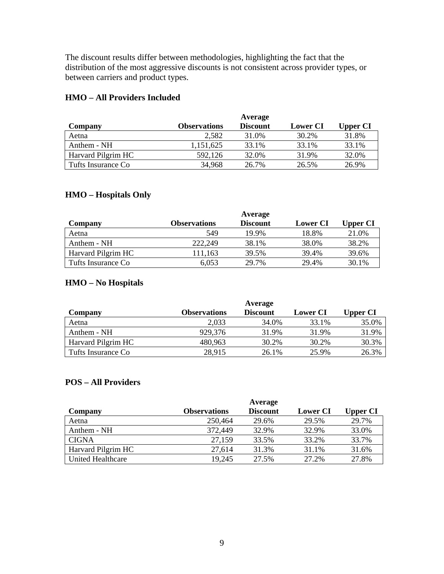The discount results differ between methodologies, highlighting the fact that the distribution of the most aggressive discounts is not consistent across provider types, or between carriers and product types.

# **HMO – All Providers Included**

|                    |                     | Average         |                 |                 |
|--------------------|---------------------|-----------------|-----------------|-----------------|
| Company            | <b>Observations</b> | <b>Discount</b> | <b>Lower CI</b> | <b>Upper CI</b> |
| Aetna              | 2.582               | 31.0%           | 30.2%           | 31.8%           |
| Anthem - NH        | 1,151,625           | 33.1%           | 33.1%           | 33.1%           |
| Harvard Pilgrim HC | 592,126             | 32.0%           | 31.9%           | 32.0%           |
| Tufts Insurance Co | 34,968              | 26.7%           | 26.5%           | 26.9%           |

# **HMO – Hospitals Only**

|                    |                     | Average         |                 |                 |
|--------------------|---------------------|-----------------|-----------------|-----------------|
| Company            | <b>Observations</b> | <b>Discount</b> | <b>Lower CI</b> | <b>Upper CI</b> |
| Aetna              | 549                 | 19.9%           | 18.8%           | 21.0%           |
| Anthem - NH        | 222,249             | 38.1%           | 38.0%           | 38.2%           |
| Harvard Pilgrim HC | 111.163             | 39.5%           | 39.4%           | 39.6%           |
| Tufts Insurance Co | 6.053               | 29.7%           | 29.4%           | 30.1%           |

# **HMO – No Hospitals**

|                    |                     | Average         |                 |          |
|--------------------|---------------------|-----------------|-----------------|----------|
| Company            | <b>Observations</b> | <b>Discount</b> | <b>Lower CI</b> | Upper CI |
| Aetna              | 2,033               | 34.0%           | 33.1%           | 35.0%    |
| Anthem - NH        | 929,376             | 31.9%           | 31.9%           | 31.9%    |
| Harvard Pilgrim HC | 480.963             | 30.2%           | 30.2%           | 30.3%    |
| Tufts Insurance Co | 28,915              | 26.1%           | 25.9%           | 26.3%    |

# **POS – All Providers**

|                    |                     | Average         |                 |                 |
|--------------------|---------------------|-----------------|-----------------|-----------------|
| Company            | <b>Observations</b> | <b>Discount</b> | <b>Lower CI</b> | <b>Upper CI</b> |
| Aetna              | 250,464             | 29.6%           | 29.5%           | 29.7%           |
| Anthem - NH        | 372,449             | 32.9%           | 32.9%           | 33.0%           |
| <b>CIGNA</b>       | 27,159              | 33.5%           | 33.2%           | 33.7%           |
| Harvard Pilgrim HC | 27,614              | 31.3%           | 31.1%           | 31.6%           |
| United Healthcare  | 19,245              | 27.5%           | 27.2%           | 27.8%           |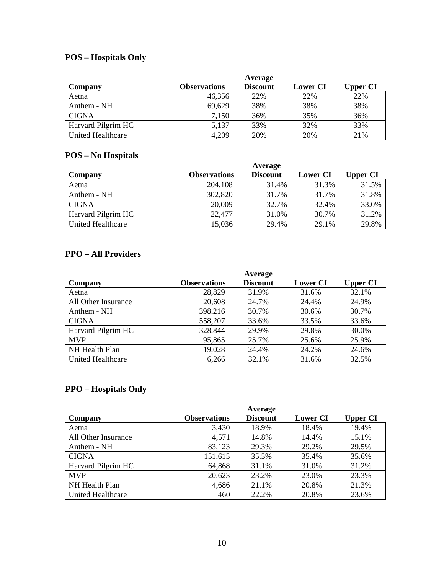# **POS – Hospitals Only**

|                    |                     | Average         |                 |                 |
|--------------------|---------------------|-----------------|-----------------|-----------------|
| Company            | <b>Observations</b> | <b>Discount</b> | <b>Lower CI</b> | <b>Upper CI</b> |
| Aetna              | 46,356              | 22%             | 22%             | 22%             |
| Anthem - NH        | 69,629              | 38%             | 38%             | 38%             |
| <b>CIGNA</b>       | 7,150               | 36%             | 35%             | 36%             |
| Harvard Pilgrim HC | 5,137               | 33%             | 32%             | 33%             |
| United Healthcare  | 4,209               | 20%             | 20%             | 21%             |

# **POS – No Hospitals**

|                    |                     | Average         |                 |          |
|--------------------|---------------------|-----------------|-----------------|----------|
| Company            | <b>Observations</b> | <b>Discount</b> | <b>Lower CI</b> | Upper CI |
| Aetna              | 204,108             | 31.4%           | 31.3%           | 31.5%    |
| Anthem - NH        | 302,820             | 31.7%           | 31.7%           | 31.8%    |
| <b>CIGNA</b>       | 20,009              | 32.7%           | 32.4%           | 33.0%    |
| Harvard Pilgrim HC | 22,477              | 31.0%           | 30.7%           | 31.2%    |
| United Healthcare  | 15,036              | 29.4%           | 29.1%           | 29.8%    |

# **PPO – All Providers**

|                          |                     | Average         |                 |                 |
|--------------------------|---------------------|-----------------|-----------------|-----------------|
| Company                  | <b>Observations</b> | <b>Discount</b> | <b>Lower CI</b> | <b>Upper CI</b> |
| Aetna                    | 28,829              | 31.9%           | 31.6%           | 32.1%           |
| All Other Insurance      | 20,608              | 24.7%           | 24.4%           | 24.9%           |
| Anthem - NH              | 398,216             | 30.7%           | 30.6%           | 30.7%           |
| <b>CIGNA</b>             | 558,207             | 33.6%           | 33.5%           | 33.6%           |
| Harvard Pilgrim HC       | 328,844             | 29.9%           | 29.8%           | 30.0%           |
| <b>MVP</b>               | 95,865              | 25.7%           | 25.6%           | 25.9%           |
| NH Health Plan           | 19,028              | 24.4%           | 24.2%           | 24.6%           |
| <b>United Healthcare</b> | 6,266               | 32.1%           | 31.6%           | 32.5%           |

# **PPO – Hospitals Only**

|                          |                     | Average  |                 |                 |
|--------------------------|---------------------|----------|-----------------|-----------------|
| Company                  | <b>Observations</b> | Discount | <b>Lower CI</b> | <b>Upper CI</b> |
| Aetna                    | 3,430               | 18.9%    | 18.4%           | 19.4%           |
| All Other Insurance      | 4,571               | 14.8%    | 14.4%           | 15.1%           |
| Anthem - NH              | 83,123              | 29.3%    | 29.2%           | 29.5%           |
| <b>CIGNA</b>             | 151,615             | 35.5%    | 35.4%           | 35.6%           |
| Harvard Pilgrim HC       | 64,868              | 31.1%    | 31.0%           | 31.2%           |
| <b>MVP</b>               | 20,623              | 23.2%    | 23.0%           | 23.3%           |
| NH Health Plan           | 4,686               | 21.1%    | 20.8%           | 21.3%           |
| <b>United Healthcare</b> | 460                 | 22.2%    | 20.8%           | 23.6%           |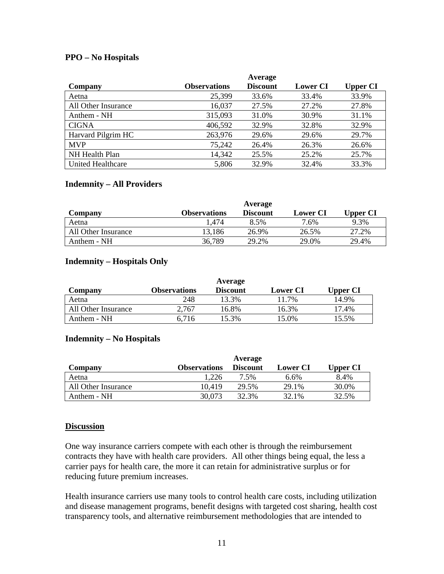## **PPO – No Hospitals**

|                          |                     | Average         |                 |                 |
|--------------------------|---------------------|-----------------|-----------------|-----------------|
| Company                  | <b>Observations</b> | <b>Discount</b> | <b>Lower CI</b> | <b>Upper CI</b> |
| Aetna                    | 25,399              | 33.6%           | 33.4%           | 33.9%           |
| All Other Insurance      | 16,037              | 27.5%           | 27.2%           | 27.8%           |
| Anthem - NH              | 315,093             | 31.0%           | 30.9%           | 31.1%           |
| <b>CIGNA</b>             | 406,592             | 32.9%           | 32.8%           | 32.9%           |
| Harvard Pilgrim HC       | 263,976             | 29.6%           | 29.6%           | 29.7%           |
| <b>MVP</b>               | 75,242              | 26.4%           | 26.3%           | 26.6%           |
| NH Health Plan           | 14,342              | 25.5%           | 25.2%           | 25.7%           |
| <b>United Healthcare</b> | 5,806               | 32.9%           | 32.4%           | 33.3%           |

#### **Indemnity – All Providers**

|                     |                     | Average         |                 |          |
|---------------------|---------------------|-----------------|-----------------|----------|
| Company             | <b>Observations</b> | <b>Discount</b> | <b>Lower CI</b> | Upper CI |
| Aetna               | 1.474               | 8.5%            | 7.6%            | 9.3%     |
| All Other Insurance | 13.186              | 26.9%           | 26.5%           | 27.2%    |
| Anthem - NH         | 36,789              | 29.2%           | 29.0%           | 29.4%    |

#### **Indemnity – Hospitals Only**

|                     |              | Average         |                 |          |
|---------------------|--------------|-----------------|-----------------|----------|
| Company             | Observations | <b>Discount</b> | <b>Lower CI</b> | Upper CI |
| Aetna               | 248          | 13.3%           | 11.7%           | 14.9%    |
| All Other Insurance | 2.767        | 16.8%           | 16.3%           | 17.4%    |
| Anthem - NH         | 6.716        | 15.3%           | 15.0%           | 15.5%    |

#### **Indemnity – No Hospitals**

|                     |                     | Average         |                 |          |
|---------------------|---------------------|-----------------|-----------------|----------|
| Company             | <b>Observations</b> | <b>Discount</b> | <b>Lower CI</b> | Upper CI |
| Aetna               | .226                | 7.5%            | $6.6\%$         | 8.4%     |
| All Other Insurance | 10.419              | 29.5%           | 29.1%           | 30.0%    |
| Anthem - NH         | 30,073              | 32.3%           | 32.1%           | 32.5%    |

#### **Discussion**

One way insurance carriers compete with each other is through the reimbursement contracts they have with health care providers. All other things being equal, the less a carrier pays for health care, the more it can retain for administrative surplus or for reducing future premium increases.

Health insurance carriers use many tools to control health care costs, including utilization and disease management programs, benefit designs with targeted cost sharing, health cost transparency tools, and alternative reimbursement methodologies that are intended to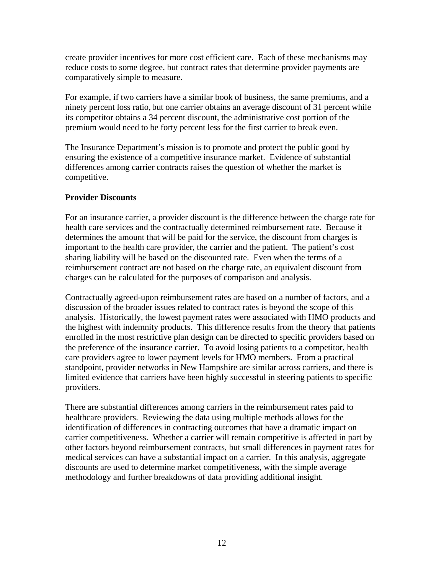create provider incentives for more cost efficient care. Each of these mechanisms may reduce costs to some degree, but contract rates that determine provider payments are comparatively simple to measure.

For example, if two carriers have a similar book of business, the same premiums, and a ninety percent loss ratio, but one carrier obtains an average discount of 31 percent while its competitor obtains a 34 percent discount, the administrative cost portion of the premium would need to be forty percent less for the first carrier to break even.

The Insurance Department's mission is to promote and protect the public good by ensuring the existence of a competitive insurance market. Evidence of substantial differences among carrier contracts raises the question of whether the market is competitive.

# **Provider Discounts**

For an insurance carrier, a provider discount is the difference between the charge rate for health care services and the contractually determined reimbursement rate. Because it determines the amount that will be paid for the service, the discount from charges is important to the health care provider, the carrier and the patient. The patient's cost sharing liability will be based on the discounted rate. Even when the terms of a reimbursement contract are not based on the charge rate, an equivalent discount from charges can be calculated for the purposes of comparison and analysis.

Contractually agreed-upon reimbursement rates are based on a number of factors, and a discussion of the broader issues related to contract rates is beyond the scope of this analysis. Historically, the lowest payment rates were associated with HMO products and the highest with indemnity products. This difference results from the theory that patients enrolled in the most restrictive plan design can be directed to specific providers based on the preference of the insurance carrier. To avoid losing patients to a competitor, health care providers agree to lower payment levels for HMO members. From a practical standpoint, provider networks in New Hampshire are similar across carriers, and there is limited evidence that carriers have been highly successful in steering patients to specific providers.

There are substantial differences among carriers in the reimbursement rates paid to healthcare providers. Reviewing the data using multiple methods allows for the identification of differences in contracting outcomes that have a dramatic impact on carrier competitiveness. Whether a carrier will remain competitive is affected in part by other factors beyond reimbursement contracts, but small differences in payment rates for medical services can have a substantial impact on a carrier. In this analysis, aggregate discounts are used to determine market competitiveness, with the simple average methodology and further breakdowns of data providing additional insight.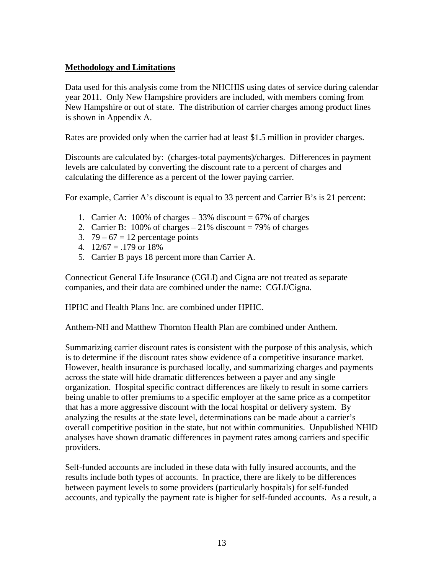# **Methodology and Limitations**

Data used for this analysis come from the NHCHIS using dates of service during calendar year 2011. Only New Hampshire providers are included, with members coming from New Hampshire or out of state. The distribution of carrier charges among product lines is shown in Appendix A.

Rates are provided only when the carrier had at least \$1.5 million in provider charges.

Discounts are calculated by: (charges-total payments)/charges. Differences in payment levels are calculated by converting the discount rate to a percent of charges and calculating the difference as a percent of the lower paying carrier.

For example, Carrier A's discount is equal to 33 percent and Carrier B's is 21 percent:

- 1. Carrier A:  $100\%$  of charges  $-33\%$  discount  $= 67\%$  of charges
- 2. Carrier B:  $100\%$  of charges  $-21\%$  discount  $= 79\%$  of charges
- 3.  $79 67 = 12$  percentage points
- 4.  $12/67 = 179$  or  $18\%$
- 5. Carrier B pays 18 percent more than Carrier A.

Connecticut General Life Insurance (CGLI) and Cigna are not treated as separate companies, and their data are combined under the name: CGLI/Cigna.

HPHC and Health Plans Inc. are combined under HPHC.

Anthem-NH and Matthew Thornton Health Plan are combined under Anthem.

Summarizing carrier discount rates is consistent with the purpose of this analysis, which is to determine if the discount rates show evidence of a competitive insurance market. However, health insurance is purchased locally, and summarizing charges and payments across the state will hide dramatic differences between a payer and any single organization. Hospital specific contract differences are likely to result in some carriers being unable to offer premiums to a specific employer at the same price as a competitor that has a more aggressive discount with the local hospital or delivery system. By analyzing the results at the state level, determinations can be made about a carrier's overall competitive position in the state, but not within communities. Unpublished NHID analyses have shown dramatic differences in payment rates among carriers and specific providers.

Self-funded accounts are included in these data with fully insured accounts, and the results include both types of accounts. In practice, there are likely to be differences between payment levels to some providers (particularly hospitals) for self-funded accounts, and typically the payment rate is higher for self-funded accounts. As a result, a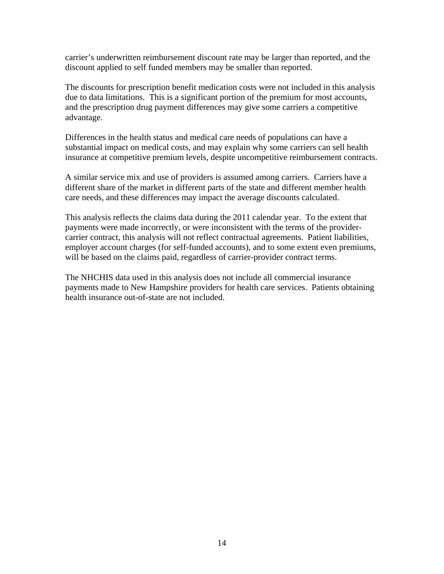carrier's underwritten reimbursement discount rate may be larger than reported, and the discount applied to self funded members may be smaller than reported.

The discounts for prescription benefit medication costs were not included in this analysis due to data limitations. This is a significant portion of the premium for most accounts, and the prescription drug payment differences may give some carriers a competitive advantage.

Differences in the health status and medical care needs of populations can have a substantial impact on medical costs, and may explain why some carriers can sell health insurance at competitive premium levels, despite uncompetitive reimbursement contracts.

A similar service mix and use of providers is assumed among carriers. Carriers have a different share of the market in different parts of the state and different member health care needs, and these differences may impact the average discounts calculated.

This analysis reflects the claims data during the 2011 calendar year. To the extent that payments were made incorrectly, or were inconsistent with the terms of the providercarrier contract, this analysis will not reflect contractual agreements. Patient liabilities, employer account charges (for self-funded accounts), and to some extent even premiums, will be based on the claims paid, regardless of carrier-provider contract terms.

The NHCHIS data used in this analysis does not include all commercial insurance payments made to New Hampshire providers for health care services. Patients obtaining health insurance out-of-state are not included.